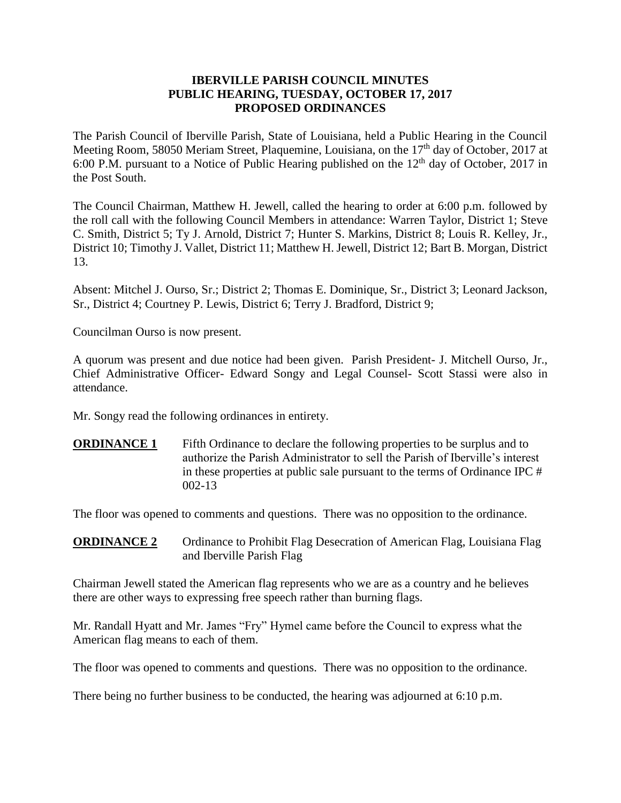# **IBERVILLE PARISH COUNCIL MINUTES PUBLIC HEARING, TUESDAY, OCTOBER 17, 2017 PROPOSED ORDINANCES**

The Parish Council of Iberville Parish, State of Louisiana, held a Public Hearing in the Council Meeting Room, 58050 Meriam Street, Plaquemine, Louisiana, on the 17<sup>th</sup> day of October, 2017 at 6:00 P.M. pursuant to a Notice of Public Hearing published on the  $12<sup>th</sup>$  day of October, 2017 in the Post South.

The Council Chairman, Matthew H. Jewell, called the hearing to order at 6:00 p.m. followed by the roll call with the following Council Members in attendance: Warren Taylor, District 1; Steve C. Smith, District 5; Ty J. Arnold, District 7; Hunter S. Markins, District 8; Louis R. Kelley, Jr., District 10; Timothy J. Vallet, District 11; Matthew H. Jewell, District 12; Bart B. Morgan, District 13.

Absent: Mitchel J. Ourso, Sr.; District 2; Thomas E. Dominique, Sr., District 3; Leonard Jackson, Sr., District 4; Courtney P. Lewis, District 6; Terry J. Bradford, District 9;

Councilman Ourso is now present.

A quorum was present and due notice had been given. Parish President- J. Mitchell Ourso, Jr., Chief Administrative Officer- Edward Songy and Legal Counsel- Scott Stassi were also in attendance.

Mr. Songy read the following ordinances in entirety.

**ORDINANCE 1** Fifth Ordinance to declare the following properties to be surplus and to authorize the Parish Administrator to sell the Parish of Iberville's interest in these properties at public sale pursuant to the terms of Ordinance IPC # 002-13

The floor was opened to comments and questions. There was no opposition to the ordinance.

**ORDINANCE 2** Ordinance to Prohibit Flag Desecration of American Flag, Louisiana Flag and Iberville Parish Flag

Chairman Jewell stated the American flag represents who we are as a country and he believes there are other ways to expressing free speech rather than burning flags.

Mr. Randall Hyatt and Mr. James "Fry" Hymel came before the Council to express what the American flag means to each of them.

The floor was opened to comments and questions. There was no opposition to the ordinance.

There being no further business to be conducted, the hearing was adjourned at 6:10 p.m.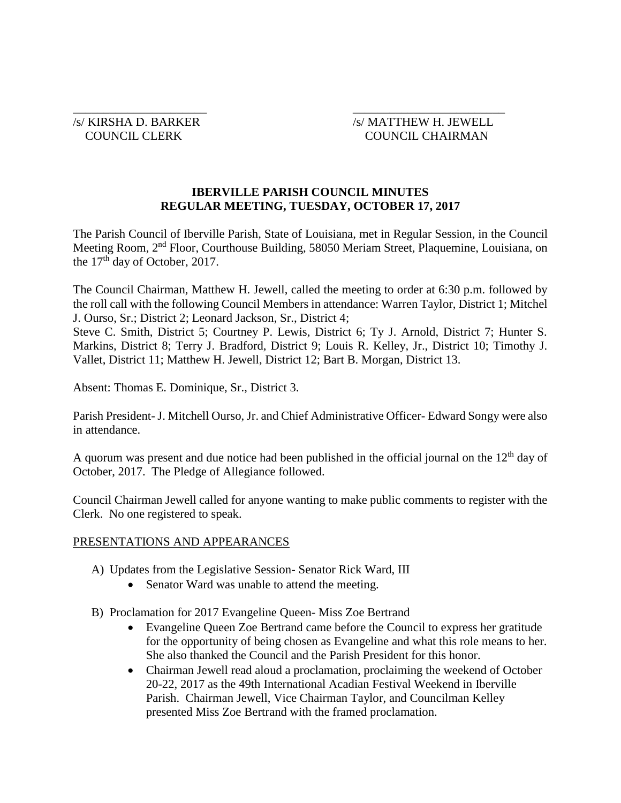# /s/ KIRSHA D. BARKER /s/ MATTHEW H. JEWELL COUNCIL CLERK COUNCIL CHAIRMAN

# **IBERVILLE PARISH COUNCIL MINUTES REGULAR MEETING, TUESDAY, OCTOBER 17, 2017**

 $\overline{\phantom{a}}$  , and the contract of the contract of the contract of the contract of the contract of the contract of the contract of the contract of the contract of the contract of the contract of the contract of the contrac

The Parish Council of Iberville Parish, State of Louisiana, met in Regular Session, in the Council Meeting Room, 2nd Floor, Courthouse Building, 58050 Meriam Street, Plaquemine, Louisiana, on the 17<sup>th</sup> day of October, 2017.

The Council Chairman, Matthew H. Jewell, called the meeting to order at 6:30 p.m. followed by the roll call with the following Council Members in attendance: Warren Taylor, District 1; Mitchel J. Ourso, Sr.; District 2; Leonard Jackson, Sr., District 4;

Steve C. Smith, District 5; Courtney P. Lewis, District 6; Ty J. Arnold, District 7; Hunter S. Markins, District 8; Terry J. Bradford, District 9; Louis R. Kelley, Jr., District 10; Timothy J. Vallet, District 11; Matthew H. Jewell, District 12; Bart B. Morgan, District 13.

Absent: Thomas E. Dominique, Sr., District 3.

Parish President- J. Mitchell Ourso, Jr. and Chief Administrative Officer- Edward Songy were also in attendance.

A quorum was present and due notice had been published in the official journal on the  $12<sup>th</sup>$  day of October, 2017. The Pledge of Allegiance followed.

Council Chairman Jewell called for anyone wanting to make public comments to register with the Clerk. No one registered to speak.

## PRESENTATIONS AND APPEARANCES

- A) Updates from the Legislative Session- Senator Rick Ward, III
	- Senator Ward was unable to attend the meeting.
- B) Proclamation for 2017 Evangeline Queen- Miss Zoe Bertrand
	- Evangeline Queen Zoe Bertrand came before the Council to express her gratitude for the opportunity of being chosen as Evangeline and what this role means to her. She also thanked the Council and the Parish President for this honor.
	- Chairman Jewell read aloud a proclamation, proclaiming the weekend of October 20-22, 2017 as the 49th International Acadian Festival Weekend in Iberville Parish. Chairman Jewell, Vice Chairman Taylor, and Councilman Kelley presented Miss Zoe Bertrand with the framed proclamation.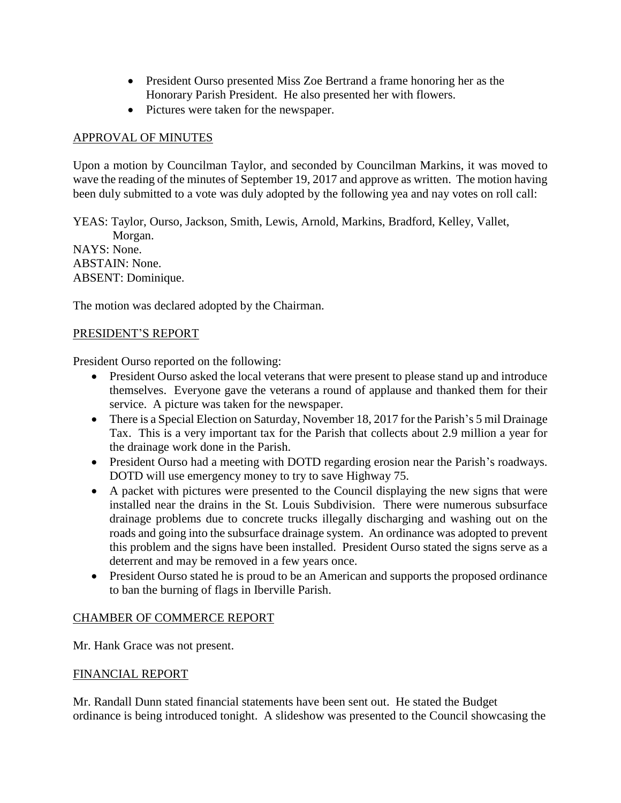- President Ourso presented Miss Zoe Bertrand a frame honoring her as the Honorary Parish President. He also presented her with flowers.
- Pictures were taken for the newspaper.

# APPROVAL OF MINUTES

Upon a motion by Councilman Taylor, and seconded by Councilman Markins, it was moved to wave the reading of the minutes of September 19, 2017 and approve as written. The motion having been duly submitted to a vote was duly adopted by the following yea and nay votes on roll call:

YEAS: Taylor, Ourso, Jackson, Smith, Lewis, Arnold, Markins, Bradford, Kelley, Vallet, Morgan. NAYS: None. ABSTAIN: None. ABSENT: Dominique.

The motion was declared adopted by the Chairman.

## PRESIDENT'S REPORT

President Ourso reported on the following:

- President Ourso asked the local veterans that were present to please stand up and introduce themselves. Everyone gave the veterans a round of applause and thanked them for their service. A picture was taken for the newspaper.
- There is a Special Election on Saturday, November 18, 2017 for the Parish's 5 mil Drainage Tax. This is a very important tax for the Parish that collects about 2.9 million a year for the drainage work done in the Parish.
- President Ourso had a meeting with DOTD regarding erosion near the Parish's roadways. DOTD will use emergency money to try to save Highway 75.
- A packet with pictures were presented to the Council displaying the new signs that were installed near the drains in the St. Louis Subdivision. There were numerous subsurface drainage problems due to concrete trucks illegally discharging and washing out on the roads and going into the subsurface drainage system. An ordinance was adopted to prevent this problem and the signs have been installed. President Ourso stated the signs serve as a deterrent and may be removed in a few years once.
- President Ourso stated he is proud to be an American and supports the proposed ordinance to ban the burning of flags in Iberville Parish.

## CHAMBER OF COMMERCE REPORT

Mr. Hank Grace was not present.

## FINANCIAL REPORT

Mr. Randall Dunn stated financial statements have been sent out. He stated the Budget ordinance is being introduced tonight. A slideshow was presented to the Council showcasing the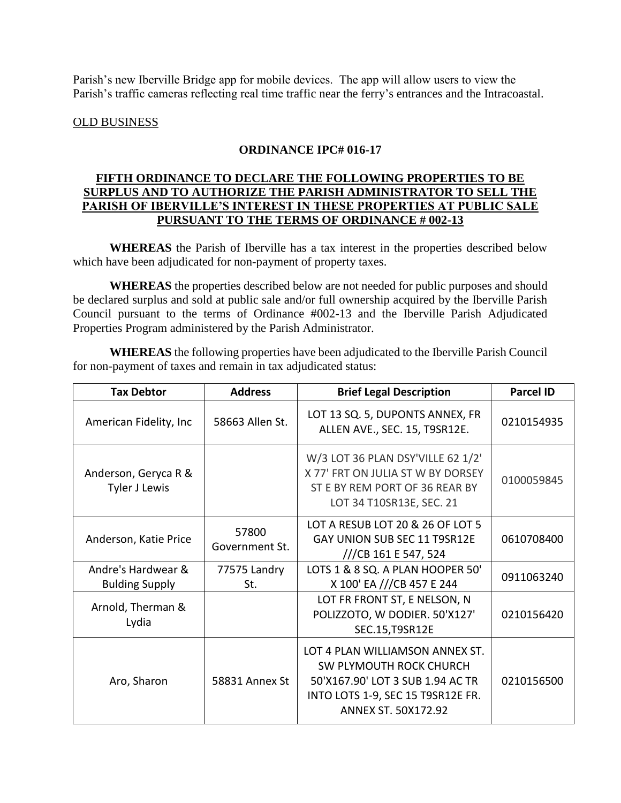Parish's new Iberville Bridge app for mobile devices. The app will allow users to view the Parish's traffic cameras reflecting real time traffic near the ferry's entrances and the Intracoastal.

## OLD BUSINESS

# **ORDINANCE IPC# 016-17**

# **FIFTH ORDINANCE TO DECLARE THE FOLLOWING PROPERTIES TO BE SURPLUS AND TO AUTHORIZE THE PARISH ADMINISTRATOR TO SELL THE PARISH OF IBERVILLE'S INTEREST IN THESE PROPERTIES AT PUBLIC SALE PURSUANT TO THE TERMS OF ORDINANCE # 002-13**

**WHEREAS** the Parish of Iberville has a tax interest in the properties described below which have been adjudicated for non-payment of property taxes.

**WHEREAS** the properties described below are not needed for public purposes and should be declared surplus and sold at public sale and/or full ownership acquired by the Iberville Parish Council pursuant to the terms of Ordinance #002-13 and the Iberville Parish Adjudicated Properties Program administered by the Parish Administrator.

**WHEREAS** the following properties have been adjudicated to the Iberville Parish Council for non-payment of taxes and remain in tax adjudicated status:

| <b>Tax Debtor</b>                           | <b>Address</b>          | <b>Brief Legal Description</b>                                                                                                                                    | <b>Parcel ID</b> |
|---------------------------------------------|-------------------------|-------------------------------------------------------------------------------------------------------------------------------------------------------------------|------------------|
| American Fidelity, Inc.                     | 58663 Allen St.         | LOT 13 SQ. 5, DUPONTS ANNEX, FR<br>ALLEN AVE., SEC. 15, T9SR12E.                                                                                                  | 0210154935       |
| Anderson, Geryca R &<br>Tyler J Lewis       |                         | W/3 LOT 36 PLAN DSY'VILLE 62 1/2'<br>X 77' FRT ON JULIA ST W BY DORSEY<br>ST E BY REM PORT OF 36 REAR BY<br>LOT 34 T10SR13E, SEC. 21                              | 0100059845       |
| Anderson, Katie Price                       | 57800<br>Government St. | LOT A RESUB LOT 20 & 26 OF LOT 5<br>GAY UNION SUB SEC 11 T9SR12E<br>$\frac{1}{2}$ CB 161 E 547, 524                                                               | 0610708400       |
| Andre's Hardwear &<br><b>Bulding Supply</b> | 77575 Landry<br>St.     | LOTS 1 & 8 SQ. A PLAN HOOPER 50'<br>X 100' EA ///CB 457 E 244                                                                                                     | 0911063240       |
| Arnold, Therman &<br>Lydia                  |                         | LOT FR FRONT ST, E NELSON, N<br>POLIZZOTO, W DODIER. 50'X127'<br>SEC.15, T9SR12E                                                                                  | 0210156420       |
| Aro, Sharon                                 | 58831 Annex St          | LOT 4 PLAN WILLIAMSON ANNEX ST.<br>SW PLYMOUTH ROCK CHURCH<br>50'X167.90' LOT 3 SUB 1.94 AC TR<br>INTO LOTS 1-9, SEC 15 T9SR12E FR.<br><b>ANNEX ST. 50X172.92</b> | 0210156500       |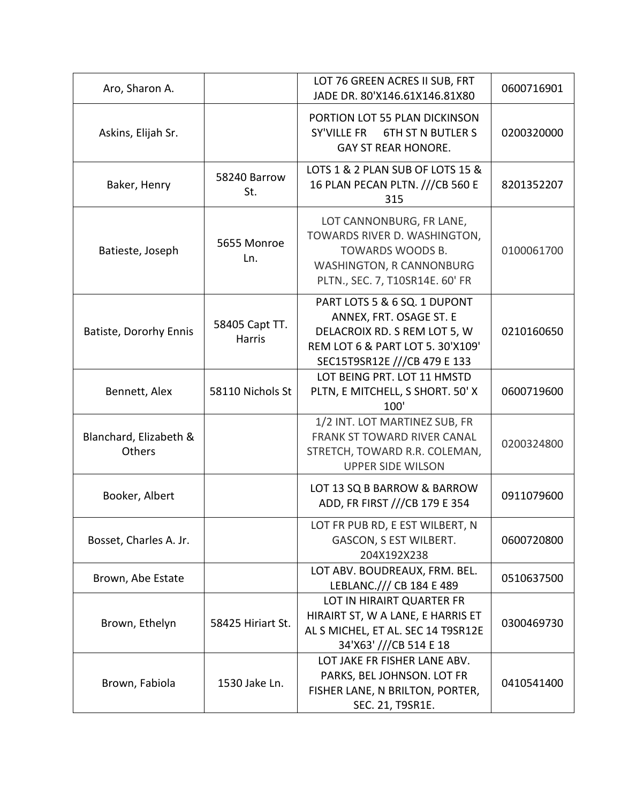| Aro, Sharon A.                   |                                 | LOT 76 GREEN ACRES II SUB, FRT<br>JADE DR. 80'X146.61X146.81X80                                                                                             | 0600716901 |
|----------------------------------|---------------------------------|-------------------------------------------------------------------------------------------------------------------------------------------------------------|------------|
| Askins, Elijah Sr.               |                                 | PORTION LOT 55 PLAN DICKINSON<br>SY'VILLE FR<br><b>6TH ST N BUTLER S</b><br><b>GAY ST REAR HONORE.</b>                                                      | 0200320000 |
| Baker, Henry                     | 58240 Barrow<br>St.             | LOTS 1 & 2 PLAN SUB OF LOTS 15 &<br>16 PLAN PECAN PLTN. ///CB 560 E<br>315                                                                                  | 8201352207 |
| Batieste, Joseph                 | 5655 Monroe<br>Ln.              | LOT CANNONBURG, FR LANE,<br>TOWARDS RIVER D. WASHINGTON,<br>TOWARDS WOODS B.<br><b>WASHINGTON, R CANNONBURG</b><br>PLTN., SEC. 7, T10SR14E. 60' FR          | 0100061700 |
| Batiste, Dororhy Ennis           | 58405 Capt TT.<br><b>Harris</b> | PART LOTS 5 & 6 SQ. 1 DUPONT<br>ANNEX, FRT. OSAGE ST. E<br>DELACROIX RD. S REM LOT 5, W<br>REM LOT 6 & PART LOT 5. 30'X109'<br>SEC15T9SR12E ///CB 479 E 133 | 0210160650 |
| Bennett, Alex                    | 58110 Nichols St                | LOT BEING PRT. LOT 11 HMSTD<br>PLTN, E MITCHELL, S SHORT. 50' X<br>100'                                                                                     | 0600719600 |
| Blanchard, Elizabeth &<br>Others |                                 | 1/2 INT. LOT MARTINEZ SUB, FR<br><b>FRANK ST TOWARD RIVER CANAL</b><br>STRETCH, TOWARD R.R. COLEMAN,<br><b>UPPER SIDE WILSON</b>                            | 0200324800 |
| Booker, Albert                   |                                 | LOT 13 SQ B BARROW & BARROW<br>ADD, FR FIRST ///CB 179 E 354                                                                                                | 0911079600 |
| Bosset, Charles A. Jr.           |                                 | LOT FR PUB RD, E EST WILBERT, N<br>GASCON, S EST WILBERT.<br>204X192X238                                                                                    | 0600720800 |
| Brown, Abe Estate                |                                 | LOT ABV. BOUDREAUX, FRM. BEL.<br>LEBLANC./// CB 184 E 489                                                                                                   | 0510637500 |
| Brown, Ethelyn                   | 58425 Hiriart St.               | LOT IN HIRAIRT QUARTER FR<br>HIRAIRT ST, W A LANE, E HARRIS ET<br>AL S MICHEL, ET AL. SEC 14 T9SR12E<br>34'X63' ///CB 514 E 18                              | 0300469730 |
| Brown, Fabiola                   | 1530 Jake Ln.                   | LOT JAKE FR FISHER LANE ABV.<br>PARKS, BEL JOHNSON. LOT FR<br>FISHER LANE, N BRILTON, PORTER,<br>SEC. 21, T9SR1E.                                           | 0410541400 |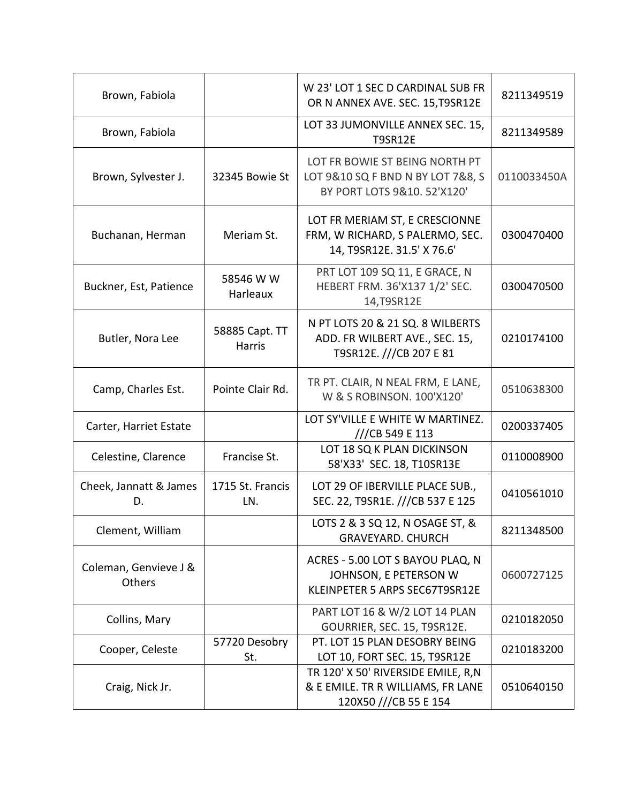| Brown, Fabiola                  |                          | W 23' LOT 1 SEC D CARDINAL SUB FR<br>OR N ANNEX AVE. SEC. 15, T9SR12E                              | 8211349519  |
|---------------------------------|--------------------------|----------------------------------------------------------------------------------------------------|-------------|
| Brown, Fabiola                  |                          | LOT 33 JUMONVILLE ANNEX SEC. 15,<br><b>T9SR12E</b>                                                 | 8211349589  |
| Brown, Sylvester J.             | 32345 Bowie St           | LOT FR BOWIE ST BEING NORTH PT<br>LOT 9&10 SQ F BND N BY LOT 7&8, S<br>BY PORT LOTS 9&10. 52'X120' | 0110033450A |
| Buchanan, Herman                | Meriam St.               | LOT FR MERIAM ST, E CRESCIONNE<br>FRM, W RICHARD, S PALERMO, SEC.<br>14, T9SR12E. 31.5' X 76.6'    | 0300470400  |
| Buckner, Est, Patience          | 58546 W W<br>Harleaux    | PRT LOT 109 SQ 11, E GRACE, N<br>HEBERT FRM. 36'X137 1/2' SEC.<br>14, T9SR12E                      | 0300470500  |
| Butler, Nora Lee                | 58885 Capt. TT<br>Harris | N PT LOTS 20 & 21 SQ. 8 WILBERTS<br>ADD. FR WILBERT AVE., SEC. 15,<br>T9SR12E. ///CB 207 E 81      | 0210174100  |
| Camp, Charles Est.              | Pointe Clair Rd.         | TR PT. CLAIR, N NEAL FRM, E LANE,<br>W & S ROBINSON. 100'X120'                                     | 0510638300  |
| Carter, Harriet Estate          |                          | LOT SY'VILLE E WHITE W MARTINEZ.<br>///CB 549 E 113                                                | 0200337405  |
| Celestine, Clarence             | Francise St.             | LOT 18 SQ K PLAN DICKINSON<br>58'X33' SEC. 18, T10SR13E                                            | 0110008900  |
| Cheek, Jannatt & James<br>D.    | 1715 St. Francis<br>LN.  | LOT 29 OF IBERVILLE PLACE SUB.,<br>SEC. 22, T9SR1E. ///CB 537 E 125                                | 0410561010  |
| Clement, William                |                          | LOTS 2 & 3 SQ 12, N OSAGE ST, &<br><b>GRAVEYARD. CHURCH</b>                                        | 8211348500  |
| Coleman, Genvieve J &<br>Others |                          | ACRES - 5.00 LOT S BAYOU PLAQ, N<br>JOHNSON, E PETERSON W<br>KLEINPETER 5 ARPS SEC67T9SR12E        | 0600727125  |
| Collins, Mary                   |                          | PART LOT 16 & W/2 LOT 14 PLAN<br>GOURRIER, SEC. 15, T9SR12E.                                       | 0210182050  |
| Cooper, Celeste                 | 57720 Desobry<br>St.     | PT. LOT 15 PLAN DESOBRY BEING<br>LOT 10, FORT SEC. 15, T9SR12E                                     | 0210183200  |
| Craig, Nick Jr.                 |                          | TR 120' X 50' RIVERSIDE EMILE, R,N<br>& E EMILE. TR R WILLIAMS, FR LANE<br>120X50 ///CB 55 E 154   | 0510640150  |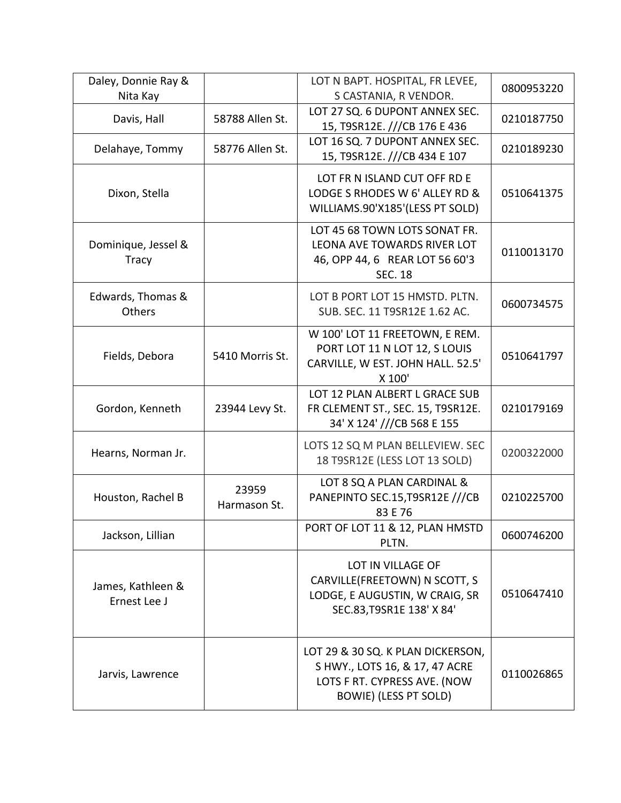| Daley, Donnie Ray &<br>Nita Kay     |                       | LOT N BAPT. HOSPITAL, FR LEVEE,<br>S CASTANIA, R VENDOR.                                                                            | 0800953220 |
|-------------------------------------|-----------------------|-------------------------------------------------------------------------------------------------------------------------------------|------------|
| Davis, Hall                         | 58788 Allen St.       | LOT 27 SQ. 6 DUPONT ANNEX SEC.<br>15, T9SR12E. ///CB 176 E 436                                                                      | 0210187750 |
| Delahaye, Tommy                     | 58776 Allen St.       | LOT 16 SQ. 7 DUPONT ANNEX SEC.<br>15, T9SR12E. ///CB 434 E 107                                                                      | 0210189230 |
| Dixon, Stella                       |                       | LOT FR N ISLAND CUT OFF RD E<br>LODGE S RHODES W 6' ALLEY RD &<br>WILLIAMS.90'X185'(LESS PT SOLD)                                   | 0510641375 |
| Dominique, Jessel &<br><b>Tracy</b> |                       | LOT 45 68 TOWN LOTS SONAT FR.<br>LEONA AVE TOWARDS RIVER LOT<br>46, OPP 44, 6 REAR LOT 56 60'3<br><b>SEC. 18</b>                    | 0110013170 |
| Edwards, Thomas &<br>Others         |                       | LOT B PORT LOT 15 HMSTD. PLTN.<br>SUB. SEC. 11 T9SR12E 1.62 AC.                                                                     | 0600734575 |
| Fields, Debora                      | 5410 Morris St.       | W 100' LOT 11 FREETOWN, E REM.<br>PORT LOT 11 N LOT 12, S LOUIS<br>CARVILLE, W EST. JOHN HALL. 52.5'<br>X 100'                      | 0510641797 |
| Gordon, Kenneth                     | 23944 Levy St.        | LOT 12 PLAN ALBERT L GRACE SUB<br>FR CLEMENT ST., SEC. 15, T9SR12E.<br>34' X 124' ///CB 568 E 155                                   | 0210179169 |
| Hearns, Norman Jr.                  |                       | LOTS 12 SQ M PLAN BELLEVIEW. SEC<br>18 T9SR12E (LESS LOT 13 SOLD)                                                                   | 0200322000 |
| Houston, Rachel B                   | 23959<br>Harmason St. | LOT 8 SQ A PLAN CARDINAL &<br>PANEPINTO SEC.15, T9SR12E ///CB<br>83 E 76                                                            | 0210225700 |
| Jackson, Lillian                    |                       | PORT OF LOT 11 & 12, PLAN HMSTD<br>PLTN.                                                                                            | 0600746200 |
| James, Kathleen &<br>Ernest Lee J   |                       | LOT IN VILLAGE OF<br>CARVILLE(FREETOWN) N SCOTT, S<br>LODGE, E AUGUSTIN, W CRAIG, SR<br>SEC.83, T9SR1E 138' X 84'                   | 0510647410 |
| Jarvis, Lawrence                    |                       | LOT 29 & 30 SQ. K PLAN DICKERSON,<br>S HWY., LOTS 16, & 17, 47 ACRE<br>LOTS F RT. CYPRESS AVE. (NOW<br><b>BOWIE) (LESS PT SOLD)</b> | 0110026865 |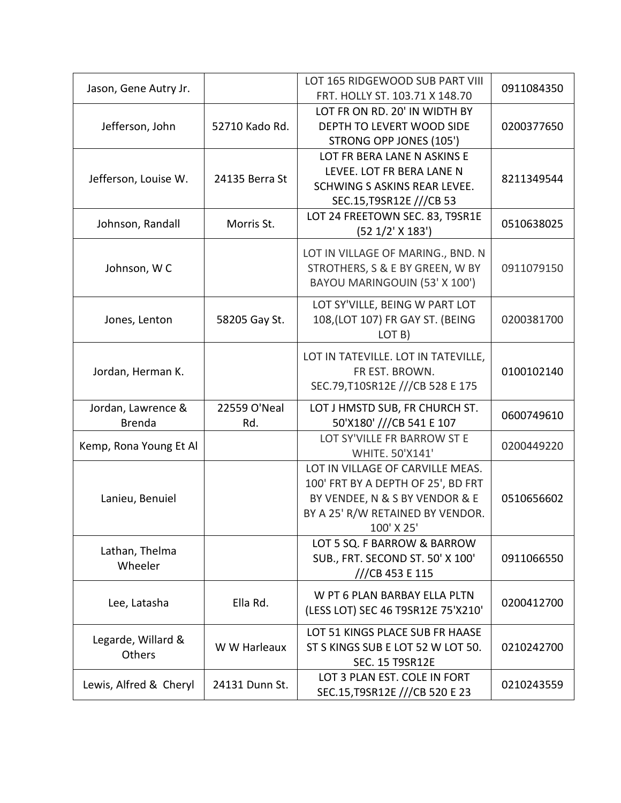| Jason, Gene Autry Jr.               |                     | LOT 165 RIDGEWOOD SUB PART VIII<br>FRT. HOLLY ST. 103.71 X 148.70                                                                                          | 0911084350 |
|-------------------------------------|---------------------|------------------------------------------------------------------------------------------------------------------------------------------------------------|------------|
| Jefferson, John                     | 52710 Kado Rd.      | LOT FR ON RD. 20' IN WIDTH BY<br>DEPTH TO LEVERT WOOD SIDE<br>STRONG OPP JONES (105')                                                                      | 0200377650 |
| Jefferson, Louise W.                | 24135 Berra St      | LOT FR BERA LANE N ASKINS E<br>LEVEE. LOT FR BERA LANE N<br>SCHWING S ASKINS REAR LEVEE.<br>SEC.15, T9SR12E ///CB 53                                       | 8211349544 |
| Johnson, Randall                    | Morris St.          | LOT 24 FREETOWN SEC. 83, T9SR1E<br>(52 1/2' X 183')                                                                                                        | 0510638025 |
| Johnson, WC                         |                     | LOT IN VILLAGE OF MARING., BND. N<br>STROTHERS, S & E BY GREEN, W BY<br>BAYOU MARINGOUIN (53' X 100')                                                      | 0911079150 |
| Jones, Lenton                       | 58205 Gay St.       | LOT SY'VILLE, BEING W PART LOT<br>108, (LOT 107) FR GAY ST. (BEING<br>LOT B)                                                                               | 0200381700 |
| Jordan, Herman K.                   |                     | LOT IN TATEVILLE. LOT IN TATEVILLE,<br>FR EST. BROWN.<br>SEC.79, T10SR12E ///CB 528 E 175                                                                  | 0100102140 |
| Jordan, Lawrence &<br><b>Brenda</b> | 22559 O'Neal<br>Rd. | LOT J HMSTD SUB, FR CHURCH ST.<br>50'X180' ///CB 541 E 107                                                                                                 | 0600749610 |
| Kemp, Rona Young Et Al              |                     | LOT SY'VILLE FR BARROW ST E<br>WHITE. 50'X141'                                                                                                             | 0200449220 |
| Lanieu, Benuiel                     |                     | LOT IN VILLAGE OF CARVILLE MEAS.<br>100' FRT BY A DEPTH OF 25', BD FRT<br>BY VENDEE, N & S BY VENDOR & E<br>BY A 25' R/W RETAINED BY VENDOR.<br>100' X 25' | 0510656602 |
| Lathan, Thelma<br>Wheeler           |                     | LOT 5 SQ. F BARROW & BARROW<br>SUB., FRT. SECOND ST. 50' X 100'<br>///CB 453 E 115                                                                         | 0911066550 |
| Lee, Latasha                        | Ella Rd.            | W PT 6 PLAN BARBAY ELLA PLTN<br>(LESS LOT) SEC 46 T9SR12E 75'X210'                                                                                         | 0200412700 |
| Legarde, Willard &<br>Others        | W W Harleaux        | LOT 51 KINGS PLACE SUB FR HAASE<br>ST S KINGS SUB E LOT 52 W LOT 50.<br><b>SEC. 15 T9SR12E</b>                                                             | 0210242700 |
| Lewis, Alfred & Cheryl              | 24131 Dunn St.      | LOT 3 PLAN EST. COLE IN FORT<br>SEC.15, T9SR12E ///CB 520 E 23                                                                                             | 0210243559 |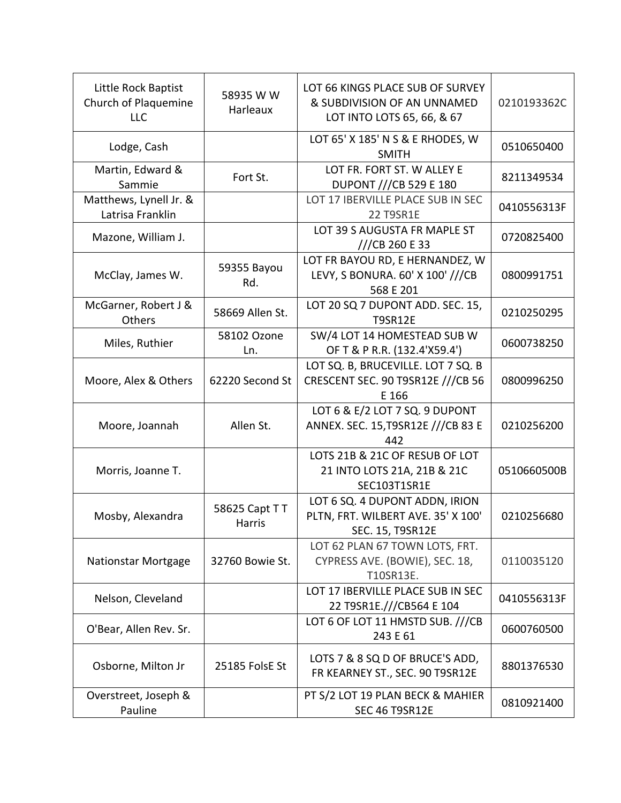| Little Rock Baptist<br>Church of Plaquemine<br><b>LLC</b> | 58935 W W<br>Harleaux    | LOT 66 KINGS PLACE SUB OF SURVEY<br>& SUBDIVISION OF AN UNNAMED<br>LOT INTO LOTS 65, 66, & 67 | 0210193362C |
|-----------------------------------------------------------|--------------------------|-----------------------------------------------------------------------------------------------|-------------|
| Lodge, Cash                                               |                          | LOT 65' X 185' N S & E RHODES, W<br><b>SMITH</b>                                              | 0510650400  |
| Martin, Edward &<br>Sammie                                | Fort St.                 | LOT FR. FORT ST. W ALLEY E<br><b>DUPONT ///CB 529 E 180</b>                                   | 8211349534  |
| Matthews, Lynell Jr. &<br>Latrisa Franklin                |                          | LOT 17 IBERVILLE PLACE SUB IN SEC<br><b>22 T9SR1E</b>                                         | 0410556313F |
| Mazone, William J.                                        |                          | LOT 39 S AUGUSTA FR MAPLE ST<br>//CB 260 E 33                                                 | 0720825400  |
| McClay, James W.                                          | 59355 Bayou<br>Rd.       | LOT FR BAYOU RD, E HERNANDEZ, W<br>LEVY, S BONURA. 60' X 100' ///CB<br>568 E 201              | 0800991751  |
| McGarner, Robert J &<br>Others                            | 58669 Allen St.          | LOT 20 SQ 7 DUPONT ADD. SEC. 15,<br><b>T9SR12E</b>                                            | 0210250295  |
| Miles, Ruthier                                            | 58102 Ozone<br>Ln.       | SW/4 LOT 14 HOMESTEAD SUB W<br>OF T & P R.R. (132.4'X59.4')                                   | 0600738250  |
| Moore, Alex & Others                                      | 62220 Second St          | LOT SQ. B, BRUCEVILLE. LOT 7 SQ. B<br>CRESCENT SEC. 90 T9SR12E ///CB 56<br>E 166              | 0800996250  |
| Moore, Joannah                                            | Allen St.                | LOT 6 & E/2 LOT 7 SQ. 9 DUPONT<br>ANNEX. SEC. 15, T9SR12E ///CB 83 E<br>442                   | 0210256200  |
| Morris, Joanne T.                                         |                          | LOTS 21B & 21C OF RESUB OF LOT<br>21 INTO LOTS 21A, 21B & 21C<br>SEC103T1SR1E                 | 0510660500B |
| Mosby, Alexandra                                          | 58625 Capt T T<br>Harris | LOT 6 SQ. 4 DUPONT ADDN, IRION<br>PLTN, FRT. WILBERT AVE. 35' X 100'<br>SEC. 15, T9SR12E      | 0210256680  |
| <b>Nationstar Mortgage</b>                                | 32760 Bowie St.          | LOT 62 PLAN 67 TOWN LOTS, FRT.<br>CYPRESS AVE. (BOWIE), SEC. 18,<br>T10SR13E.                 | 0110035120  |
| Nelson, Cleveland                                         |                          | LOT 17 IBERVILLE PLACE SUB IN SEC<br>22 T9SR1E.///CB564 E 104                                 | 0410556313F |
| O'Bear, Allen Rev. Sr.                                    |                          | LOT 6 OF LOT 11 HMSTD SUB. ///CB<br>243 E 61                                                  | 0600760500  |
| Osborne, Milton Jr                                        | 25185 FolsE St           | LOTS 7 & 8 SQ D OF BRUCE'S ADD,<br>FR KEARNEY ST., SEC. 90 T9SR12E                            | 8801376530  |
| Overstreet, Joseph &<br>Pauline                           |                          | PT S/2 LOT 19 PLAN BECK & MAHIER<br>SEC 46 T9SR12E                                            | 0810921400  |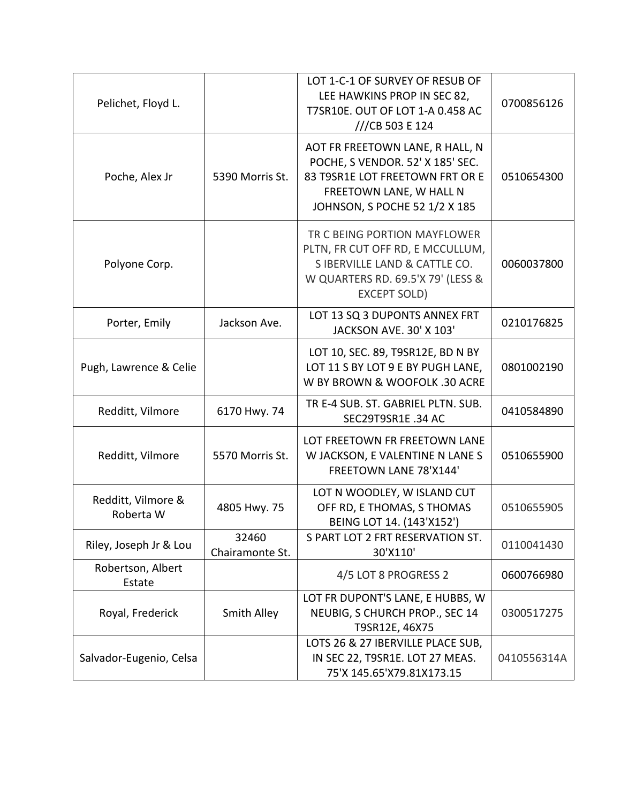| Pelichet, Floyd L.              |                          | LOT 1-C-1 OF SURVEY OF RESUB OF<br>LEE HAWKINS PROP IN SEC 82,<br>T7SR10E. OUT OF LOT 1-A 0.458 AC<br>///CB 503 E 124                                              | 0700856126  |
|---------------------------------|--------------------------|--------------------------------------------------------------------------------------------------------------------------------------------------------------------|-------------|
| Poche, Alex Jr                  | 5390 Morris St.          | AOT FR FREETOWN LANE, R HALL, N<br>POCHE, S VENDOR. 52' X 185' SEC.<br>83 T9SR1E LOT FREETOWN FRT OR E<br>FREETOWN LANE, W HALL N<br>JOHNSON, S POCHE 52 1/2 X 185 | 0510654300  |
| Polyone Corp.                   |                          | TR C BEING PORTION MAYFLOWER<br>PLTN, FR CUT OFF RD, E MCCULLUM,<br>S IBERVILLE LAND & CATTLE CO.<br>W QUARTERS RD. 69.5'X 79' (LESS &<br><b>EXCEPT SOLD)</b>      | 0060037800  |
| Porter, Emily                   | Jackson Ave.             | LOT 13 SQ 3 DUPONTS ANNEX FRT<br>JACKSON AVE. 30' X 103'                                                                                                           | 0210176825  |
| Pugh, Lawrence & Celie          |                          | LOT 10, SEC. 89, T9SR12E, BD N BY<br>LOT 11 S BY LOT 9 E BY PUGH LANE,<br>W BY BROWN & WOOFOLK .30 ACRE                                                            | 0801002190  |
| Redditt, Vilmore                | 6170 Hwy. 74             | TR E-4 SUB. ST. GABRIEL PLTN. SUB.<br>SEC29T9SR1E .34 AC                                                                                                           | 0410584890  |
| Redditt, Vilmore                | 5570 Morris St.          | LOT FREETOWN FR FREETOWN LANE<br>W JACKSON, E VALENTINE N LANE S<br>FREETOWN LANE 78'X144'                                                                         | 0510655900  |
| Redditt, Vilmore &<br>Roberta W | 4805 Hwy. 75             | LOT N WOODLEY, W ISLAND CUT<br>OFF RD, E THOMAS, S THOMAS<br>BEING LOT 14. (143'X152')                                                                             | 0510655905  |
| Riley, Joseph Jr & Lou          | 32460<br>Chairamonte St. | S PART LOT 2 FRT RESERVATION ST.<br>30'X110'                                                                                                                       | 0110041430  |
| Robertson, Albert<br>Estate     |                          | 4/5 LOT 8 PROGRESS 2                                                                                                                                               | 0600766980  |
| Royal, Frederick                | Smith Alley              | LOT FR DUPONT'S LANE, E HUBBS, W<br>NEUBIG, S CHURCH PROP., SEC 14<br>T9SR12E, 46X75                                                                               | 0300517275  |
| Salvador-Eugenio, Celsa         |                          | LOTS 26 & 27 IBERVILLE PLACE SUB,<br>IN SEC 22, T9SR1E. LOT 27 MEAS.<br>75'X 145.65'X79.81X173.15                                                                  | 0410556314A |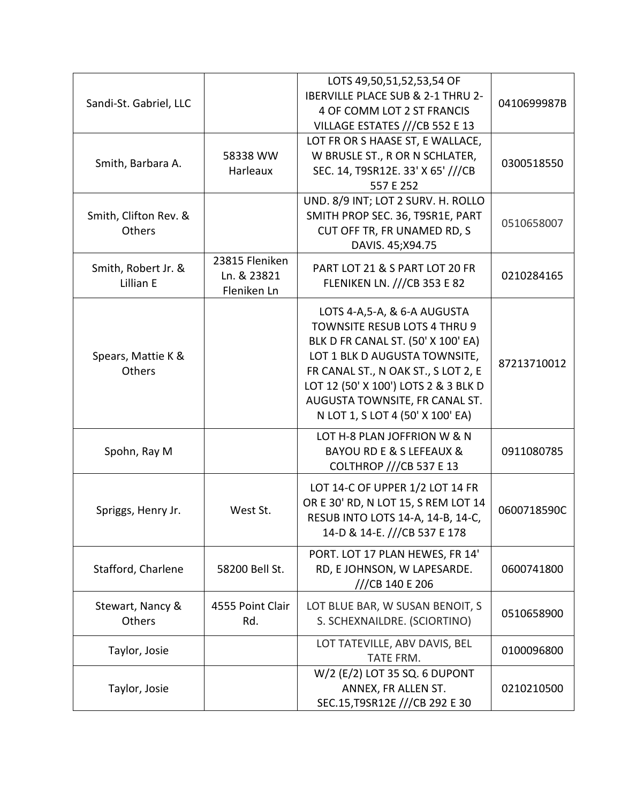|                        |                  | LOTS 49,50,51,52,53,54 OF                                         |             |
|------------------------|------------------|-------------------------------------------------------------------|-------------|
| Sandi-St. Gabriel, LLC |                  | IBERVILLE PLACE SUB & 2-1 THRU 2-                                 | 0410699987B |
|                        |                  | 4 OF COMM LOT 2 ST FRANCIS                                        |             |
|                        |                  | VILLAGE ESTATES ///CB 552 E 13                                    |             |
|                        |                  | LOT FR OR S HAASE ST, E WALLACE,                                  |             |
| Smith, Barbara A.      | 58338 WW         | W BRUSLE ST., R OR N SCHLATER,                                    | 0300518550  |
|                        | Harleaux         | SEC. 14, T9SR12E. 33' X 65' ///CB                                 |             |
|                        |                  | 557 E 252                                                         |             |
|                        |                  | UND. 8/9 INT; LOT 2 SURV. H. ROLLO                                |             |
| Smith, Clifton Rev. &  |                  | SMITH PROP SEC. 36, T9SR1E, PART                                  | 0510658007  |
| Others                 |                  | CUT OFF TR, FR UNAMED RD, S                                       |             |
|                        |                  | DAVIS. 45; X94.75                                                 |             |
| Smith, Robert Jr. &    | 23815 Fleniken   | PART LOT 21 & S PART LOT 20 FR                                    |             |
| Lillian E              | Ln. & 23821      | FLENIKEN LN. ///CB 353 E 82                                       | 0210284165  |
|                        | Fleniken Ln      |                                                                   |             |
|                        |                  | LOTS 4-A,5-A, & 6-A AUGUSTA                                       |             |
|                        |                  | <b>TOWNSITE RESUB LOTS 4 THRU 9</b>                               |             |
|                        |                  | BLK D FR CANAL ST. (50' X 100' EA)                                |             |
| Spears, Mattie K &     |                  | LOT 1 BLK D AUGUSTA TOWNSITE,                                     |             |
| Others                 |                  | FR CANAL ST., N OAK ST., S LOT 2, E                               | 87213710012 |
|                        |                  | LOT 12 (50' X 100') LOTS 2 & 3 BLK D                              |             |
|                        |                  | AUGUSTA TOWNSITE, FR CANAL ST.                                    |             |
|                        |                  | N LOT 1, S LOT 4 (50' X 100' EA)                                  |             |
|                        |                  | LOT H-8 PLAN JOFFRION W & N                                       |             |
| Spohn, Ray M           |                  | <b>BAYOU RD E &amp; S LEFEAUX &amp;</b>                           | 0911080785  |
|                        |                  | <b>COLTHROP ///CB 537 E 13</b>                                    |             |
|                        |                  |                                                                   |             |
|                        |                  | LOT 14-C OF UPPER 1/2 LOT 14 FR                                   |             |
| Spriggs, Henry Jr.     | West St.         | OR E 30' RD, N LOT 15, S REM LOT 14                               | 0600718590C |
|                        |                  | RESUB INTO LOTS 14-A, 14-B, 14-C,<br>14-D & 14-E. ///CB 537 E 178 |             |
|                        |                  |                                                                   |             |
|                        |                  | PORT. LOT 17 PLAN HEWES, FR 14'                                   |             |
| Stafford, Charlene     | 58200 Bell St.   | RD, E JOHNSON, W LAPESARDE.                                       | 0600741800  |
|                        |                  | ///CB 140 E 206                                                   |             |
| Stewart, Nancy &       | 4555 Point Clair | LOT BLUE BAR, W SUSAN BENOIT, S                                   |             |
| Others                 | Rd.              | S. SCHEXNAILDRE. (SCIORTINO)                                      | 0510658900  |
|                        |                  | LOT TATEVILLE, ABV DAVIS, BEL                                     |             |
| Taylor, Josie          |                  | TATE FRM.                                                         | 0100096800  |
|                        |                  | W/2 (E/2) LOT 35 SQ. 6 DUPONT                                     |             |
| Taylor, Josie          |                  | ANNEX, FR ALLEN ST.                                               | 0210210500  |
|                        |                  | SEC.15, T9SR12E ///CB 292 E 30                                    |             |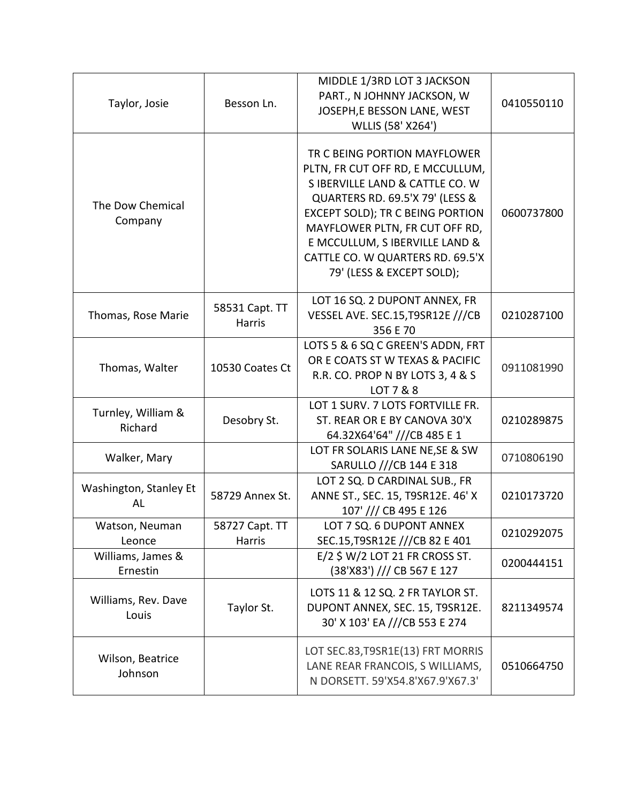| Taylor, Josie                 | Besson Ln.                      | MIDDLE 1/3RD LOT 3 JACKSON<br>PART., N JOHNNY JACKSON, W<br>JOSEPH, E BESSON LANE, WEST<br>WLLIS (58' X264')                                                                                                                                                                                                    | 0410550110 |
|-------------------------------|---------------------------------|-----------------------------------------------------------------------------------------------------------------------------------------------------------------------------------------------------------------------------------------------------------------------------------------------------------------|------------|
| The Dow Chemical<br>Company   |                                 | TR C BEING PORTION MAYFLOWER<br>PLTN, FR CUT OFF RD, E MCCULLUM,<br>S IBERVILLE LAND & CATTLE CO. W<br>QUARTERS RD. 69.5'X 79' (LESS &<br>EXCEPT SOLD); TR C BEING PORTION<br>MAYFLOWER PLTN, FR CUT OFF RD,<br>E MCCULLUM, S IBERVILLE LAND &<br>CATTLE CO. W QUARTERS RD. 69.5'X<br>79' (LESS & EXCEPT SOLD); | 0600737800 |
| Thomas, Rose Marie            | 58531 Capt. TT<br><b>Harris</b> | LOT 16 SQ. 2 DUPONT ANNEX, FR<br>VESSEL AVE. SEC.15, T9SR12E ///CB<br>356 E 70                                                                                                                                                                                                                                  | 0210287100 |
| Thomas, Walter                | 10530 Coates Ct                 | LOTS 5 & 6 SQ C GREEN'S ADDN, FRT<br>OR E COATS ST W TEXAS & PACIFIC<br>R.R. CO. PROP N BY LOTS 3, 4 & S<br>LOT 7 & 8                                                                                                                                                                                           | 0911081990 |
| Turnley, William &<br>Richard | Desobry St.                     | LOT 1 SURV. 7 LOTS FORTVILLE FR.<br>ST. REAR OR E BY CANOVA 30'X<br>64.32X64'64" ///CB 485 E 1                                                                                                                                                                                                                  | 0210289875 |
| Walker, Mary                  |                                 | LOT FR SOLARIS LANE NE, SE & SW<br>SARULLO ///CB 144 E 318                                                                                                                                                                                                                                                      | 0710806190 |
| Washington, Stanley Et<br>AL  | 58729 Annex St.                 | LOT 2 SQ. D CARDINAL SUB., FR<br>ANNE ST., SEC. 15, T9SR12E. 46' X<br>107' /// CB 495 E 126                                                                                                                                                                                                                     | 0210173720 |
| Watson, Neuman<br>Leonce      | 58727 Capt. TT<br>Harris        | LOT 7 SQ. 6 DUPONT ANNEX<br>SEC.15, T9SR12E ///CB 82 E 401                                                                                                                                                                                                                                                      | 0210292075 |
| Williams, James &<br>Ernestin |                                 | E/2 \$ W/2 LOT 21 FR CROSS ST.<br>(38'X83') /// CB 567 E 127                                                                                                                                                                                                                                                    | 0200444151 |
| Williams, Rev. Dave<br>Louis  | Taylor St.                      | LOTS 11 & 12 SQ. 2 FR TAYLOR ST.<br>DUPONT ANNEX, SEC. 15, T9SR12E.<br>30' X 103' EA ///CB 553 E 274                                                                                                                                                                                                            | 8211349574 |
| Wilson, Beatrice<br>Johnson   |                                 | LOT SEC.83, T9SR1E(13) FRT MORRIS<br>LANE REAR FRANCOIS, S WILLIAMS,<br>N DORSETT. 59'X54.8'X67.9'X67.3'                                                                                                                                                                                                        | 0510664750 |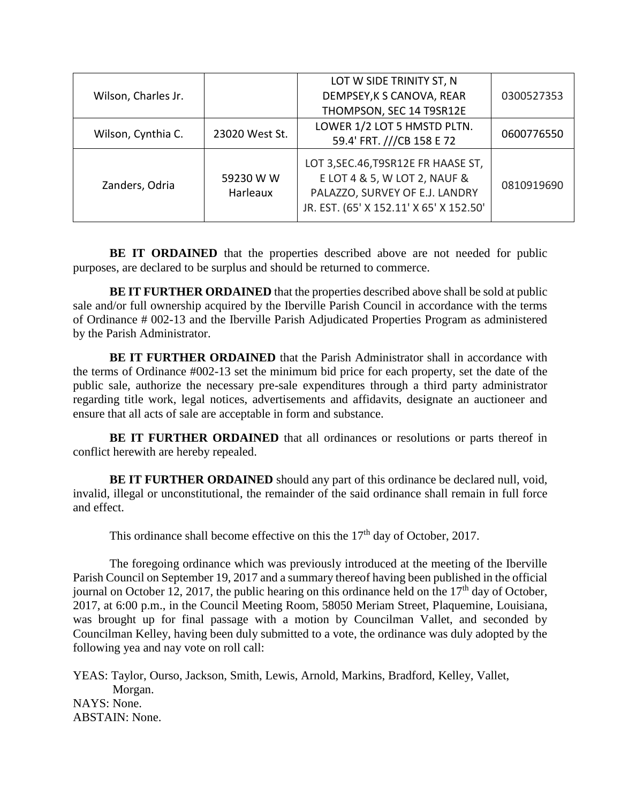| Wilson, Charles Jr. |                       | LOT W SIDE TRINITY ST, N                                                                                                                          |            |
|---------------------|-----------------------|---------------------------------------------------------------------------------------------------------------------------------------------------|------------|
|                     |                       | DEMPSEY, K S CANOVA, REAR                                                                                                                         | 0300527353 |
|                     |                       | THOMPSON, SEC 14 T9SR12E                                                                                                                          |            |
| Wilson, Cynthia C.  | 23020 West St.        | LOWER 1/2 LOT 5 HMSTD PLTN.                                                                                                                       |            |
|                     |                       | 59.4' FRT. ///CB 158 E 72                                                                                                                         | 0600776550 |
| Zanders, Odria      | 59230 W W<br>Harleaux | LOT 3, SEC. 46, T9SR12E FR HAASE ST,<br>E LOT 4 & 5, W LOT 2, NAUF &<br>PALAZZO, SURVEY OF E.J. LANDRY<br>JR. EST. (65' X 152.11' X 65' X 152.50' | 0810919690 |

**BE IT ORDAINED** that the properties described above are not needed for public purposes, are declared to be surplus and should be returned to commerce.

**BE IT FURTHER ORDAINED** that the properties described above shall be sold at public sale and/or full ownership acquired by the Iberville Parish Council in accordance with the terms of Ordinance # 002-13 and the Iberville Parish Adjudicated Properties Program as administered by the Parish Administrator.

**BE IT FURTHER ORDAINED** that the Parish Administrator shall in accordance with the terms of Ordinance #002-13 set the minimum bid price for each property, set the date of the public sale, authorize the necessary pre-sale expenditures through a third party administrator regarding title work, legal notices, advertisements and affidavits, designate an auctioneer and ensure that all acts of sale are acceptable in form and substance.

**BE IT FURTHER ORDAINED** that all ordinances or resolutions or parts thereof in conflict herewith are hereby repealed.

**BE IT FURTHER ORDAINED** should any part of this ordinance be declared null, void, invalid, illegal or unconstitutional, the remainder of the said ordinance shall remain in full force and effect.

This ordinance shall become effective on this the  $17<sup>th</sup>$  day of October, 2017.

The foregoing ordinance which was previously introduced at the meeting of the Iberville Parish Council on September 19, 2017 and a summary thereof having been published in the official journal on October 12, 2017, the public hearing on this ordinance held on the  $17<sup>th</sup>$  day of October, 2017, at 6:00 p.m., in the Council Meeting Room, 58050 Meriam Street, Plaquemine, Louisiana, was brought up for final passage with a motion by Councilman Vallet, and seconded by Councilman Kelley, having been duly submitted to a vote, the ordinance was duly adopted by the following yea and nay vote on roll call:

YEAS: Taylor, Ourso, Jackson, Smith, Lewis, Arnold, Markins, Bradford, Kelley, Vallet, Morgan. NAYS: None. ABSTAIN: None.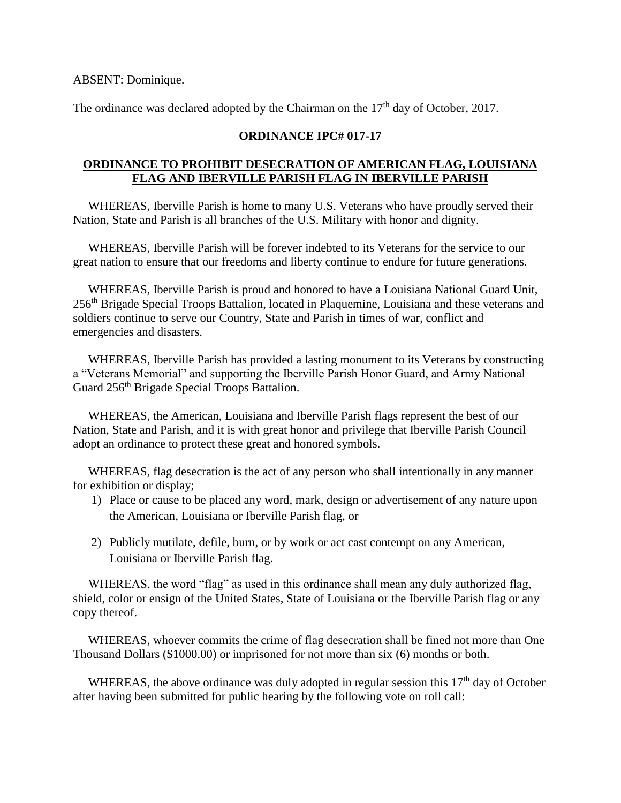ABSENT: Dominique.

The ordinance was declared adopted by the Chairman on the  $17<sup>th</sup>$  day of October, 2017.

# **ORDINANCE IPC# 017-17**

# **ORDINANCE TO PROHIBIT DESECRATION OF AMERICAN FLAG, LOUISIANA FLAG AND IBERVILLE PARISH FLAG IN IBERVILLE PARISH**

 WHEREAS, Iberville Parish is home to many U.S. Veterans who have proudly served their Nation, State and Parish is all branches of the U.S. Military with honor and dignity.

 WHEREAS, Iberville Parish will be forever indebted to its Veterans for the service to our great nation to ensure that our freedoms and liberty continue to endure for future generations.

 WHEREAS, Iberville Parish is proud and honored to have a Louisiana National Guard Unit, 256th Brigade Special Troops Battalion, located in Plaquemine, Louisiana and these veterans and soldiers continue to serve our Country, State and Parish in times of war, conflict and emergencies and disasters.

 WHEREAS, Iberville Parish has provided a lasting monument to its Veterans by constructing a "Veterans Memorial" and supporting the Iberville Parish Honor Guard, and Army National Guard 256<sup>th</sup> Brigade Special Troops Battalion.

 WHEREAS, the American, Louisiana and Iberville Parish flags represent the best of our Nation, State and Parish, and it is with great honor and privilege that Iberville Parish Council adopt an ordinance to protect these great and honored symbols.

 WHEREAS, flag desecration is the act of any person who shall intentionally in any manner for exhibition or display;

- 1) Place or cause to be placed any word, mark, design or advertisement of any nature upon the American, Louisiana or Iberville Parish flag, or
- 2) Publicly mutilate, defile, burn, or by work or act cast contempt on any American, Louisiana or Iberville Parish flag.

WHEREAS, the word "flag" as used in this ordinance shall mean any duly authorized flag, shield, color or ensign of the United States, State of Louisiana or the Iberville Parish flag or any copy thereof.

 WHEREAS, whoever commits the crime of flag desecration shall be fined not more than One Thousand Dollars (\$1000.00) or imprisoned for not more than six (6) months or both.

WHEREAS, the above ordinance was duly adopted in regular session this  $17<sup>th</sup>$  day of October after having been submitted for public hearing by the following vote on roll call: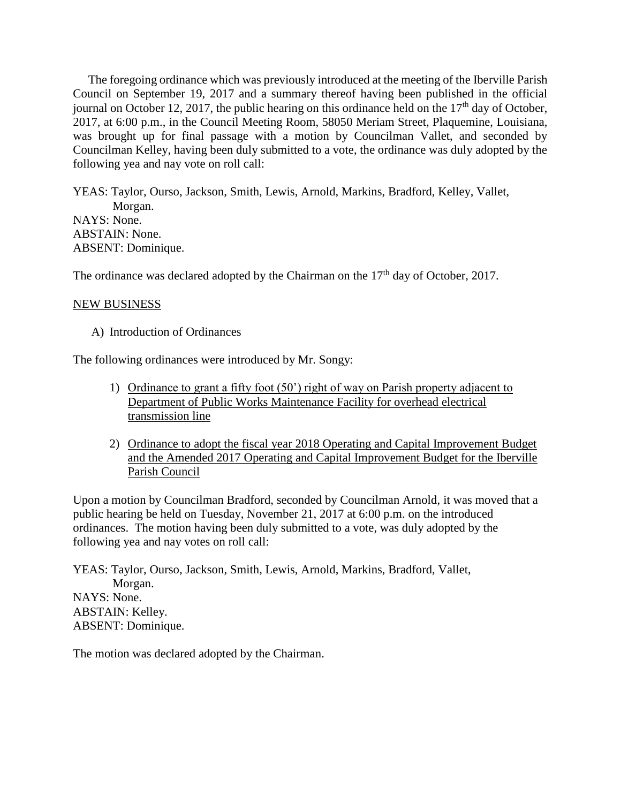The foregoing ordinance which was previously introduced at the meeting of the Iberville Parish Council on September 19, 2017 and a summary thereof having been published in the official journal on October 12, 2017, the public hearing on this ordinance held on the  $17<sup>th</sup>$  day of October, 2017, at 6:00 p.m., in the Council Meeting Room, 58050 Meriam Street, Plaquemine, Louisiana, was brought up for final passage with a motion by Councilman Vallet, and seconded by Councilman Kelley, having been duly submitted to a vote, the ordinance was duly adopted by the following yea and nay vote on roll call:

YEAS: Taylor, Ourso, Jackson, Smith, Lewis, Arnold, Markins, Bradford, Kelley, Vallet, Morgan. NAYS: None. ABSTAIN: None. ABSENT: Dominique.

The ordinance was declared adopted by the Chairman on the  $17<sup>th</sup>$  day of October, 2017.

## NEW BUSINESS

A) Introduction of Ordinances

The following ordinances were introduced by Mr. Songy:

- 1) Ordinance to grant a fifty foot (50') right of way on Parish property adjacent to Department of Public Works Maintenance Facility for overhead electrical transmission line
- 2) Ordinance to adopt the fiscal year 2018 Operating and Capital Improvement Budget and the Amended 2017 Operating and Capital Improvement Budget for the Iberville Parish Council

Upon a motion by Councilman Bradford, seconded by Councilman Arnold, it was moved that a public hearing be held on Tuesday, November 21, 2017 at 6:00 p.m. on the introduced ordinances. The motion having been duly submitted to a vote, was duly adopted by the following yea and nay votes on roll call:

YEAS: Taylor, Ourso, Jackson, Smith, Lewis, Arnold, Markins, Bradford, Vallet, Morgan. NAYS: None. ABSTAIN: Kelley. ABSENT: Dominique.

The motion was declared adopted by the Chairman.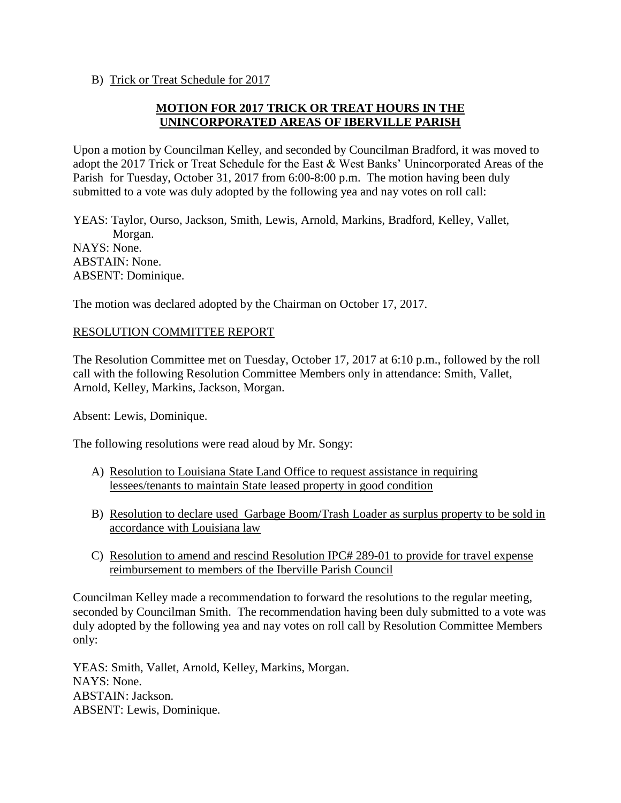B) Trick or Treat Schedule for 2017

# **MOTION FOR 2017 TRICK OR TREAT HOURS IN THE UNINCORPORATED AREAS OF IBERVILLE PARISH**

Upon a motion by Councilman Kelley, and seconded by Councilman Bradford, it was moved to adopt the 2017 Trick or Treat Schedule for the East & West Banks' Unincorporated Areas of the Parish for Tuesday, October 31, 2017 from 6:00-8:00 p.m. The motion having been duly submitted to a vote was duly adopted by the following yea and nay votes on roll call:

YEAS: Taylor, Ourso, Jackson, Smith, Lewis, Arnold, Markins, Bradford, Kelley, Vallet, Morgan. NAYS: None. ABSTAIN: None. ABSENT: Dominique.

The motion was declared adopted by the Chairman on October 17, 2017.

## RESOLUTION COMMITTEE REPORT

The Resolution Committee met on Tuesday, October 17, 2017 at 6:10 p.m., followed by the roll call with the following Resolution Committee Members only in attendance: Smith, Vallet, Arnold, Kelley, Markins, Jackson, Morgan.

Absent: Lewis, Dominique.

The following resolutions were read aloud by Mr. Songy:

- A) Resolution to Louisiana State Land Office to request assistance in requiring lessees/tenants to maintain State leased property in good condition
- B) Resolution to declare used Garbage Boom/Trash Loader as surplus property to be sold in accordance with Louisiana law
- C) Resolution to amend and rescind Resolution IPC# 289-01 to provide for travel expense reimbursement to members of the Iberville Parish Council

Councilman Kelley made a recommendation to forward the resolutions to the regular meeting, seconded by Councilman Smith. The recommendation having been duly submitted to a vote was duly adopted by the following yea and nay votes on roll call by Resolution Committee Members only:

YEAS: Smith, Vallet, Arnold, Kelley, Markins, Morgan. NAYS: None. ABSTAIN: Jackson. ABSENT: Lewis, Dominique.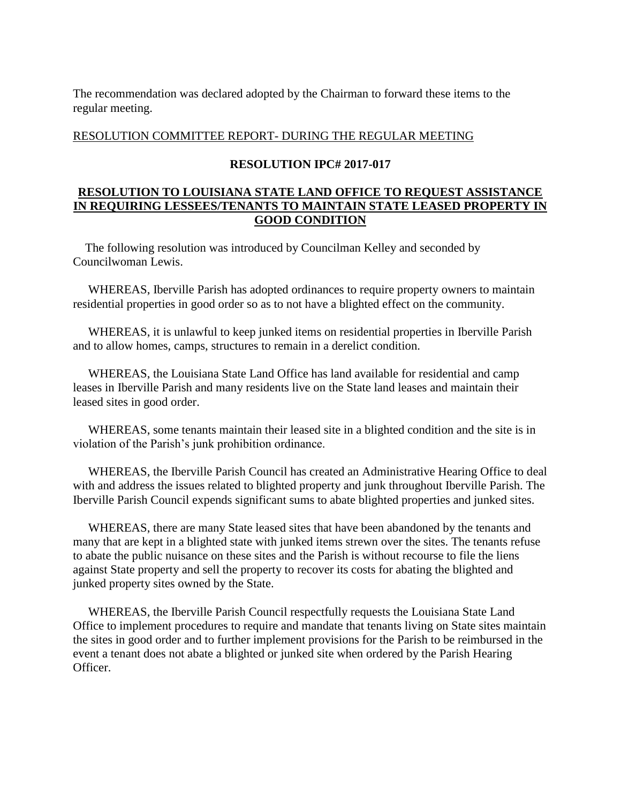The recommendation was declared adopted by the Chairman to forward these items to the regular meeting.

RESOLUTION COMMITTEE REPORT- DURING THE REGULAR MEETING

## **RESOLUTION IPC# 2017-017**

# **RESOLUTION TO LOUISIANA STATE LAND OFFICE TO REQUEST ASSISTANCE IN REQUIRING LESSEES/TENANTS TO MAINTAIN STATE LEASED PROPERTY IN GOOD CONDITION**

 The following resolution was introduced by Councilman Kelley and seconded by Councilwoman Lewis.

 WHEREAS, Iberville Parish has adopted ordinances to require property owners to maintain residential properties in good order so as to not have a blighted effect on the community.

 WHEREAS, it is unlawful to keep junked items on residential properties in Iberville Parish and to allow homes, camps, structures to remain in a derelict condition.

 WHEREAS, the Louisiana State Land Office has land available for residential and camp leases in Iberville Parish and many residents live on the State land leases and maintain their leased sites in good order.

 WHEREAS, some tenants maintain their leased site in a blighted condition and the site is in violation of the Parish's junk prohibition ordinance.

 WHEREAS, the Iberville Parish Council has created an Administrative Hearing Office to deal with and address the issues related to blighted property and junk throughout Iberville Parish. The Iberville Parish Council expends significant sums to abate blighted properties and junked sites.

 WHEREAS, there are many State leased sites that have been abandoned by the tenants and many that are kept in a blighted state with junked items strewn over the sites. The tenants refuse to abate the public nuisance on these sites and the Parish is without recourse to file the liens against State property and sell the property to recover its costs for abating the blighted and junked property sites owned by the State.

 WHEREAS, the Iberville Parish Council respectfully requests the Louisiana State Land Office to implement procedures to require and mandate that tenants living on State sites maintain the sites in good order and to further implement provisions for the Parish to be reimbursed in the event a tenant does not abate a blighted or junked site when ordered by the Parish Hearing Officer.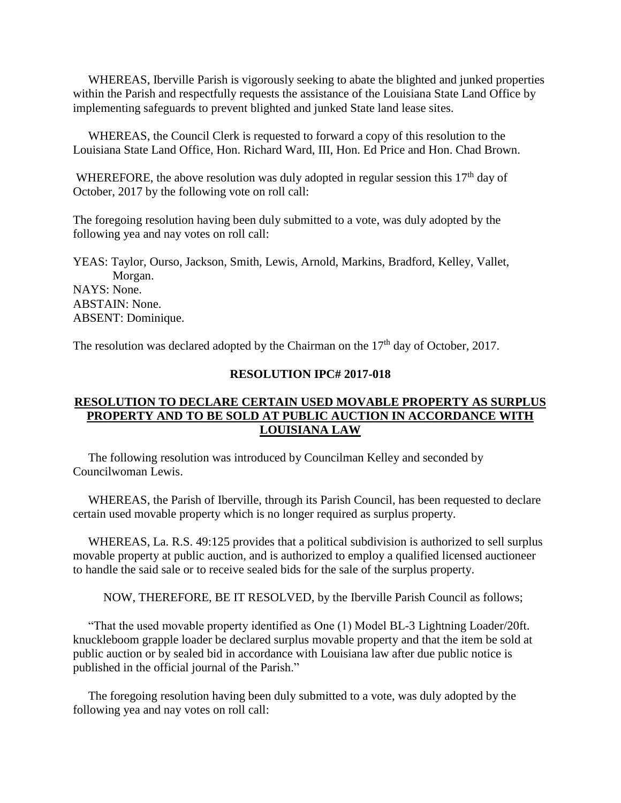WHEREAS, Iberville Parish is vigorously seeking to abate the blighted and junked properties within the Parish and respectfully requests the assistance of the Louisiana State Land Office by implementing safeguards to prevent blighted and junked State land lease sites.

 WHEREAS, the Council Clerk is requested to forward a copy of this resolution to the Louisiana State Land Office, Hon. Richard Ward, III, Hon. Ed Price and Hon. Chad Brown.

WHEREFORE, the above resolution was duly adopted in regular session this 17<sup>th</sup> day of October, 2017 by the following vote on roll call:

The foregoing resolution having been duly submitted to a vote, was duly adopted by the following yea and nay votes on roll call:

YEAS: Taylor, Ourso, Jackson, Smith, Lewis, Arnold, Markins, Bradford, Kelley, Vallet, Morgan. NAYS: None. ABSTAIN: None. ABSENT: Dominique.

The resolution was declared adopted by the Chairman on the  $17<sup>th</sup>$  day of October, 2017.

## **RESOLUTION IPC# 2017-018**

## **RESOLUTION TO DECLARE CERTAIN USED MOVABLE PROPERTY AS SURPLUS PROPERTY AND TO BE SOLD AT PUBLIC AUCTION IN ACCORDANCE WITH LOUISIANA LAW**

 The following resolution was introduced by Councilman Kelley and seconded by Councilwoman Lewis.

 WHEREAS, the Parish of Iberville, through its Parish Council, has been requested to declare certain used movable property which is no longer required as surplus property.

 WHEREAS, La. R.S. 49:125 provides that a political subdivision is authorized to sell surplus movable property at public auction, and is authorized to employ a qualified licensed auctioneer to handle the said sale or to receive sealed bids for the sale of the surplus property.

NOW, THEREFORE, BE IT RESOLVED, by the Iberville Parish Council as follows;

 "That the used movable property identified as One (1) Model BL-3 Lightning Loader/20ft. knuckleboom grapple loader be declared surplus movable property and that the item be sold at public auction or by sealed bid in accordance with Louisiana law after due public notice is published in the official journal of the Parish."

 The foregoing resolution having been duly submitted to a vote, was duly adopted by the following yea and nay votes on roll call: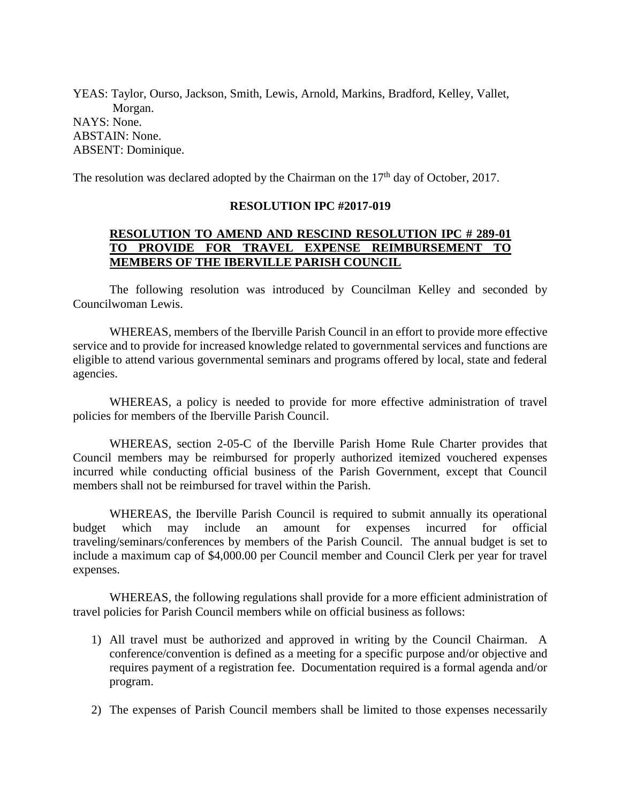YEAS: Taylor, Ourso, Jackson, Smith, Lewis, Arnold, Markins, Bradford, Kelley, Vallet, Morgan. NAYS: None. ABSTAIN: None. ABSENT: Dominique.

The resolution was declared adopted by the Chairman on the  $17<sup>th</sup>$  day of October, 2017.

#### **RESOLUTION IPC #2017-019**

# **RESOLUTION TO AMEND AND RESCIND RESOLUTION IPC # 289-01 TO PROVIDE FOR TRAVEL EXPENSE REIMBURSEMENT TO MEMBERS OF THE IBERVILLE PARISH COUNCIL**

The following resolution was introduced by Councilman Kelley and seconded by Councilwoman Lewis.

WHEREAS, members of the Iberville Parish Council in an effort to provide more effective service and to provide for increased knowledge related to governmental services and functions are eligible to attend various governmental seminars and programs offered by local, state and federal agencies.

WHEREAS, a policy is needed to provide for more effective administration of travel policies for members of the Iberville Parish Council.

WHEREAS, section 2-05-C of the Iberville Parish Home Rule Charter provides that Council members may be reimbursed for properly authorized itemized vouchered expenses incurred while conducting official business of the Parish Government, except that Council members shall not be reimbursed for travel within the Parish.

WHEREAS, the Iberville Parish Council is required to submit annually its operational budget which may include an amount for expenses incurred for official traveling/seminars/conferences by members of the Parish Council. The annual budget is set to include a maximum cap of \$4,000.00 per Council member and Council Clerk per year for travel expenses.

WHEREAS, the following regulations shall provide for a more efficient administration of travel policies for Parish Council members while on official business as follows:

- 1) All travel must be authorized and approved in writing by the Council Chairman. A conference/convention is defined as a meeting for a specific purpose and/or objective and requires payment of a registration fee. Documentation required is a formal agenda and/or program.
- 2) The expenses of Parish Council members shall be limited to those expenses necessarily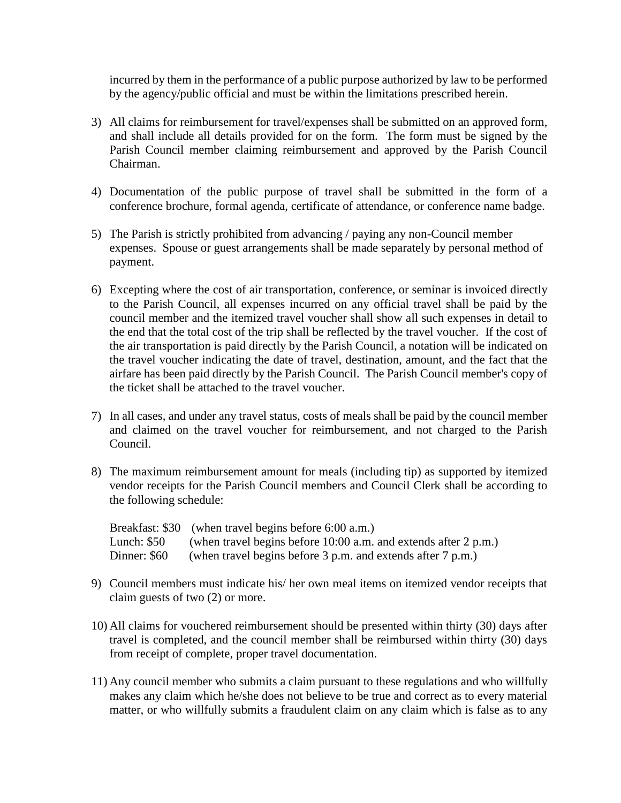incurred by them in the performance of a public purpose authorized by law to be performed by the agency/public official and must be within the limitations prescribed herein.

- 3) All claims for reimbursement for travel/expenses shall be submitted on an approved form, and shall include all details provided for on the form. The form must be signed by the Parish Council member claiming reimbursement and approved by the Parish Council Chairman.
- 4) Documentation of the public purpose of travel shall be submitted in the form of a conference brochure, formal agenda, certificate of attendance, or conference name badge.
- 5) The Parish is strictly prohibited from advancing / paying any non-Council member expenses. Spouse or guest arrangements shall be made separately by personal method of payment.
- 6) Excepting where the cost of air transportation, conference, or seminar is invoiced directly to the Parish Council, all expenses incurred on any official travel shall be paid by the council member and the itemized travel voucher shall show all such expenses in detail to the end that the total cost of the trip shall be reflected by the travel voucher. If the cost of the air transportation is paid directly by the Parish Council, a notation will be indicated on the travel voucher indicating the date of travel, destination, amount, and the fact that the airfare has been paid directly by the Parish Council. The Parish Council member's copy of the ticket shall be attached to the travel voucher.
- 7) In all cases, and under any travel status, costs of meals shall be paid by the council member and claimed on the travel voucher for reimbursement, and not charged to the Parish Council.
- 8) The maximum reimbursement amount for meals (including tip) as supported by itemized vendor receipts for the Parish Council members and Council Clerk shall be according to the following schedule:

|              | Breakfast: \$30 (when travel begins before 6:00 a.m.)             |
|--------------|-------------------------------------------------------------------|
| Lunch: \$50  | (when travel begins before $10:00$ a.m. and extends after 2 p.m.) |
| Dinner: \$60 | (when travel begins before 3 p.m. and extends after 7 p.m.)       |

- 9) Council members must indicate his/ her own meal items on itemized vendor receipts that claim guests of two (2) or more.
- 10) All claims for vouchered reimbursement should be presented within thirty (30) days after travel is completed, and the council member shall be reimbursed within thirty (30) days from receipt of complete, proper travel documentation.
- 11) Any council member who submits a claim pursuant to these regulations and who willfully makes any claim which he/she does not believe to be true and correct as to every material matter, or who willfully submits a fraudulent claim on any claim which is false as to any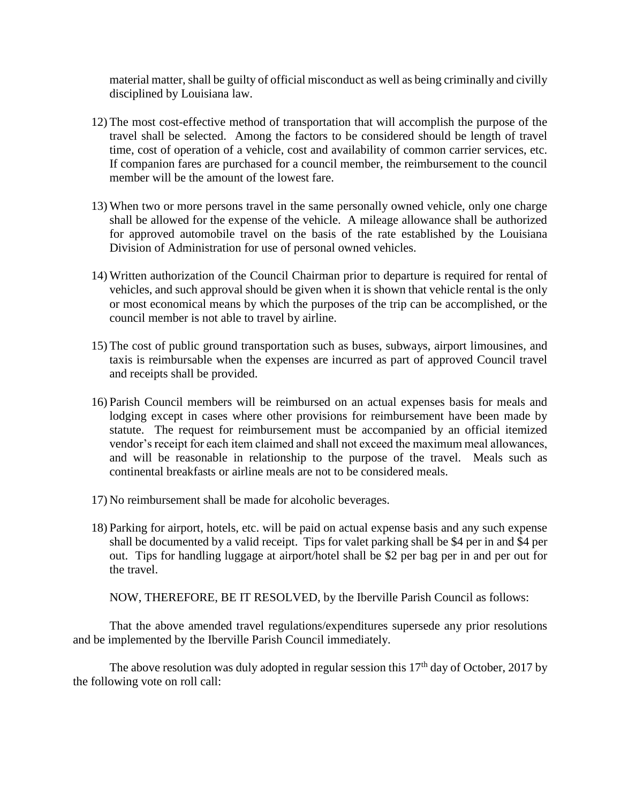material matter, shall be guilty of official misconduct as well as being criminally and civilly disciplined by Louisiana law.

- 12) The most cost-effective method of transportation that will accomplish the purpose of the travel shall be selected. Among the factors to be considered should be length of travel time, cost of operation of a vehicle, cost and availability of common carrier services, etc. If companion fares are purchased for a council member, the reimbursement to the council member will be the amount of the lowest fare.
- 13) When two or more persons travel in the same personally owned vehicle, only one charge shall be allowed for the expense of the vehicle. A mileage allowance shall be authorized for approved automobile travel on the basis of the rate established by the Louisiana Division of Administration for use of personal owned vehicles.
- 14) Written authorization of the Council Chairman prior to departure is required for rental of vehicles, and such approval should be given when it is shown that vehicle rental is the only or most economical means by which the purposes of the trip can be accomplished, or the council member is not able to travel by airline.
- 15) The cost of public ground transportation such as buses, subways, airport limousines, and taxis is reimbursable when the expenses are incurred as part of approved Council travel and receipts shall be provided.
- 16) Parish Council members will be reimbursed on an actual expenses basis for meals and lodging except in cases where other provisions for reimbursement have been made by statute. The request for reimbursement must be accompanied by an official itemized vendor's receipt for each item claimed and shall not exceed the maximum meal allowances, and will be reasonable in relationship to the purpose of the travel. Meals such as continental breakfasts or airline meals are not to be considered meals.
- 17) No reimbursement shall be made for alcoholic beverages.
- 18) Parking for airport, hotels, etc. will be paid on actual expense basis and any such expense shall be documented by a valid receipt. Tips for valet parking shall be \$4 per in and \$4 per out. Tips for handling luggage at airport/hotel shall be \$2 per bag per in and per out for the travel.

NOW, THEREFORE, BE IT RESOLVED, by the Iberville Parish Council as follows:

That the above amended travel regulations/expenditures supersede any prior resolutions and be implemented by the Iberville Parish Council immediately.

The above resolution was duly adopted in regular session this  $17<sup>th</sup>$  day of October, 2017 by the following vote on roll call: